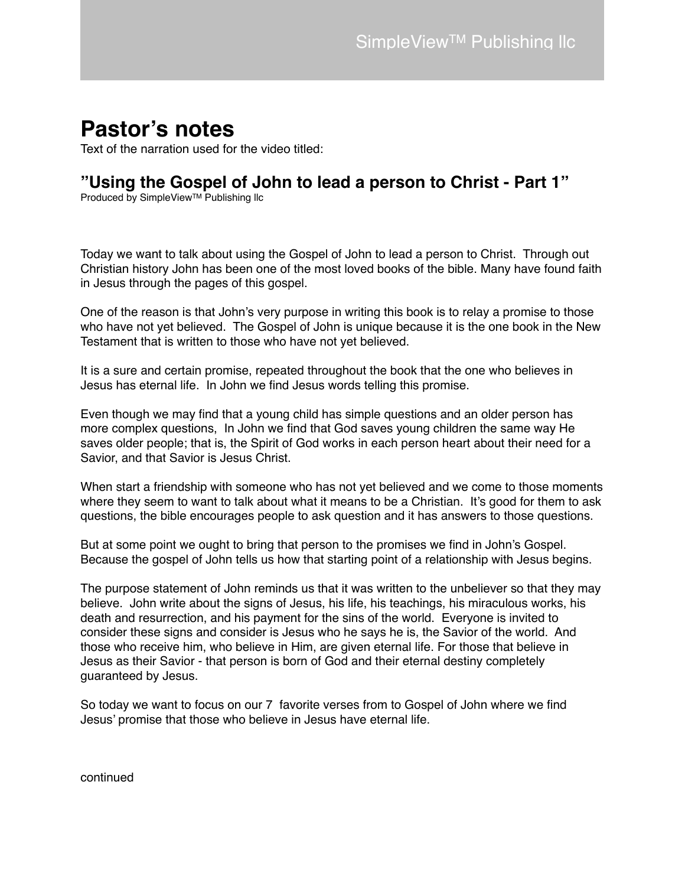# **Pastor's notes**

Text of the narration used for the video titled:

# **"Using the Gospel of John to lead a person to Christ - Part 1"**

Produced by SimpleView™ Publishing IIc

Today we want to talk about using the Gospel of John to lead a person to Christ. Through out Christian history John has been one of the most loved books of the bible. Many have found faith in Jesus through the pages of this gospel.

One of the reason is that John's very purpose in writing this book is to relay a promise to those who have not yet believed. The Gospel of John is unique because it is the one book in the New Testament that is written to those who have not yet believed.

It is a sure and certain promise, repeated throughout the book that the one who believes in Jesus has eternal life. In John we find Jesus words telling this promise.

Even though we may find that a young child has simple questions and an older person has more complex questions, In John we find that God saves young children the same way He saves older people; that is, the Spirit of God works in each person heart about their need for a Savior, and that Savior is Jesus Christ.

When start a friendship with someone who has not yet believed and we come to those moments where they seem to want to talk about what it means to be a Christian. It's good for them to ask questions, the bible encourages people to ask question and it has answers to those questions.

But at some point we ought to bring that person to the promises we find in John's Gospel. Because the gospel of John tells us how that starting point of a relationship with Jesus begins.

The purpose statement of John reminds us that it was written to the unbeliever so that they may believe. John write about the signs of Jesus, his life, his teachings, his miraculous works, his death and resurrection, and his payment for the sins of the world. Everyone is invited to consider these signs and consider is Jesus who he says he is, the Savior of the world. And those who receive him, who believe in Him, are given eternal life. For those that believe in Jesus as their Savior - that person is born of God and their eternal destiny completely guaranteed by Jesus.

So today we want to focus on our 7 favorite verses from to Gospel of John where we find Jesus' promise that those who believe in Jesus have eternal life.

continued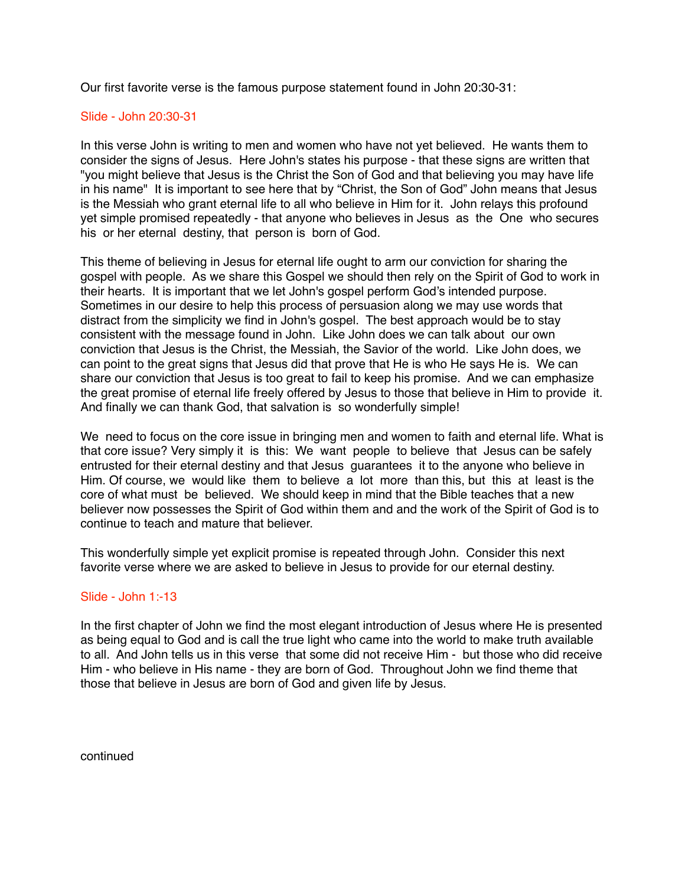Our first favorite verse is the famous purpose statement found in John 20:30-31:

## Slide - John 20:30-31

In this verse John is writing to men and women who have not yet believed. He wants them to consider the signs of Jesus. Here John's states his purpose - that these signs are written that "you might believe that Jesus is the Christ the Son of God and that believing you may have life in his name" It is important to see here that by "Christ, the Son of God" John means that Jesus is the Messiah who grant eternal life to all who believe in Him for it. John relays this profound yet simple promised repeatedly - that anyone who believes in Jesus as the One who secures his or her eternal destiny, that person is born of God.

This theme of believing in Jesus for eternal life ought to arm our conviction for sharing the gospel with people. As we share this Gospel we should then rely on the Spirit of God to work in their hearts. It is important that we let John's gospel perform God's intended purpose. Sometimes in our desire to help this process of persuasion along we may use words that distract from the simplicity we find in John's gospel. The best approach would be to stay consistent with the message found in John. Like John does we can talk about our own conviction that Jesus is the Christ, the Messiah, the Savior of the world. Like John does, we can point to the great signs that Jesus did that prove that He is who He says He is. We can share our conviction that Jesus is too great to fail to keep his promise. And we can emphasize the great promise of eternal life freely offered by Jesus to those that believe in Him to provide it. And finally we can thank God, that salvation is so wonderfully simple!

We need to focus on the core issue in bringing men and women to faith and eternal life. What is that core issue? Very simply it is this: We want people to believe that Jesus can be safely entrusted for their eternal destiny and that Jesus guarantees it to the anyone who believe in Him. Of course, we would like them to believe a lot more than this, but this at least is the core of what must be believed. We should keep in mind that the Bible teaches that a new believer now possesses the Spirit of God within them and and the work of the Spirit of God is to continue to teach and mature that believer.

This wonderfully simple yet explicit promise is repeated through John. Consider this next favorite verse where we are asked to believe in Jesus to provide for our eternal destiny.

### Slide - John 1:-13

In the first chapter of John we find the most elegant introduction of Jesus where He is presented as being equal to God and is call the true light who came into the world to make truth available to all. And John tells us in this verse that some did not receive Him - but those who did receive Him - who believe in His name - they are born of God. Throughout John we find theme that those that believe in Jesus are born of God and given life by Jesus.

continued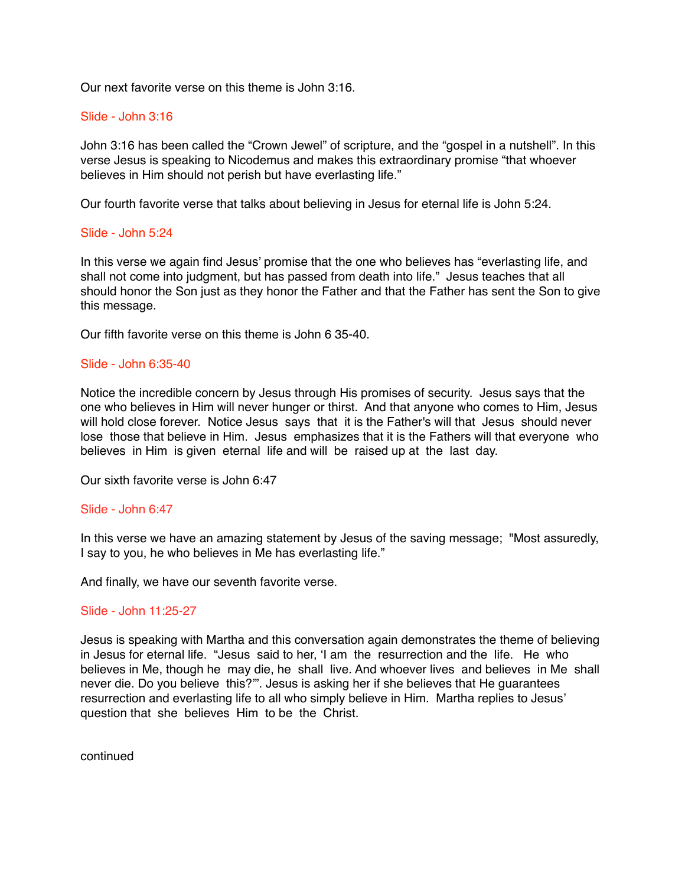Our next favorite verse on this theme is John 3:16.

#### Slide - John 3:16

John 3:16 has been called the "Crown Jewel" of scripture, and the "gospel in a nutshell". In this verse Jesus is speaking to Nicodemus and makes this extraordinary promise "that whoever believes in Him should not perish but have everlasting life."

Our fourth favorite verse that talks about believing in Jesus for eternal life is John 5:24.

#### Slide - John 5:24

In this verse we again find Jesus' promise that the one who believes has "everlasting life, and shall not come into judgment, but has passed from death into life." Jesus teaches that all should honor the Son just as they honor the Father and that the Father has sent the Son to give this message.

Our fifth favorite verse on this theme is John 6 35-40.

#### Slide - John 6:35-40

Notice the incredible concern by Jesus through His promises of security. Jesus says that the one who believes in Him will never hunger or thirst. And that anyone who comes to Him, Jesus will hold close forever. Notice Jesus says that it is the Father's will that Jesus should never lose those that believe in Him. Jesus emphasizes that it is the Fathers will that everyone who believes in Him is given eternal life and will be raised up at the last day.

Our sixth favorite verse is John 6:47

#### Slide - John 6:47

In this verse we have an amazing statement by Jesus of the saving message; "Most assuredly, I say to you, he who believes in Me has everlasting life."

And finally, we have our seventh favorite verse.

#### Slide - John 11:25-27

Jesus is speaking with Martha and this conversation again demonstrates the theme of believing in Jesus for eternal life. "Jesus said to her, 'I am the resurrection and the life. He who believes in Me, though he may die, he shall live. And whoever lives and believes in Me shall never die. Do you believe this?'". Jesus is asking her if she believes that He guarantees resurrection and everlasting life to all who simply believe in Him. Martha replies to Jesus' question that she believes Him to be the Christ.

continued